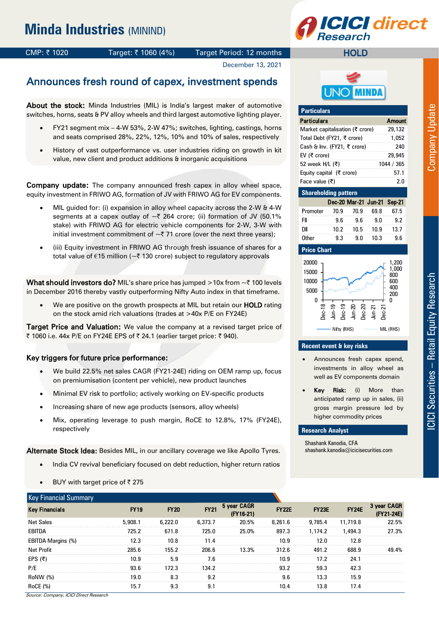# **CI direct**

CMP: ₹1020 Target: ₹1060 (4%) Target Period: 12 months

# December 13, 2021

# MINDA

**HOLD** 

| .                               |                             |        |      |        |  |  |  |  |  |  |  |
|---------------------------------|-----------------------------|--------|------|--------|--|--|--|--|--|--|--|
| <b>Particulars</b>              |                             |        |      | Amount |  |  |  |  |  |  |  |
| Market capitalisation (₹ crore) |                             |        |      | 29,132 |  |  |  |  |  |  |  |
| Total Debt (FY21, ₹ crore)      |                             |        |      | 1,052  |  |  |  |  |  |  |  |
| Cash & Inv. (FY21, ₹ crore)     |                             | 240    |      |        |  |  |  |  |  |  |  |
| EV (₹ crore)                    |                             | 29,945 |      |        |  |  |  |  |  |  |  |
| 52 week H/L (₹)                 | 1044 / 365                  |        |      |        |  |  |  |  |  |  |  |
| Equity capital (₹ crore)        |                             | 57.1   |      |        |  |  |  |  |  |  |  |
| Face value (₹)                  |                             | 2.0    |      |        |  |  |  |  |  |  |  |
| <b>Shareholding pattern</b>     |                             |        |      |        |  |  |  |  |  |  |  |
|                                 | Dec-20 Mar-21 Jun-21 Sep-21 |        |      |        |  |  |  |  |  |  |  |
| Promoter                        | 70.9                        | 70.9   | 69.8 | 67.5   |  |  |  |  |  |  |  |
| FII                             | 9.6                         | 9.6    | 9.0  | 9.2    |  |  |  |  |  |  |  |
| DШ                              | 10.2                        | 10.5   | 10.9 | 13.7   |  |  |  |  |  |  |  |
| Other                           | 9.3                         | 9.0    | 10.3 | 9.6    |  |  |  |  |  |  |  |

#### **Price Chart**

**Particulars**



#### **Recent event & key risks**

- Announces fresh capex spend, investments in alloy wheel as well as EV components domain
- Key Risk: (i) More than anticipated ramp up in sales, (ii) gross margin pressure led by higher commodity prices

#### **Research Analyst**

Shashank Kanodia, CFA shashank.kanodia@icicisecurities.com

| Announces fresh round of capex, investment spends |
|---------------------------------------------------|
|                                                   |

About the stock: Minda Industries (MIL) is India's largest maker of automotive switches, horns, seats & PV alloy wheels and third largest automotive lighting player.

- FY21 segment mix 4-W 53%, 2-W 47%; switches, lighting, castings, horns and seats comprised 28%, 22%, 12%, 10% and 10% of sales, respectively
- History of vast outperformance vs. user industries riding on growth in kit value, new client and product additions & inorganic acquisitions

Company update: The company announced fresh capex in alloy wheel space, equity investment in FRIWO AG, formation of JV with FRIWO AG for EV components.

- MIL guided for: (i) expansion in alloy wheel capacity across the 2-W & 4-W segments at a capex outlay of  $\sim$  7 264 crore; (ii) formation of JV (50.1% stake) with FRIWO AG for electric vehicle components for 2-W, 3-W with initial investment commitment of  $\sim$  71 crore (over the next three years);
- (iii) Equity investment in FRIWO AG through fresh issuance of shares for a total value of  $\epsilon$ 15 million ( $\epsilon$ ₹ 130 crore) subject to regulatory approvals

What should investors do? MIL's share price has jumped >10x from  $\sim$  7100 levels in December 2016 thereby vastly outperforming Nifty Auto index in that timeframe.

We are positive on the growth prospects at MIL but retain our HOLD rating on the stock amid rich valuations (trades at >40x P/E on FY24E)

Target Price and Valuation: We value the company at a revised target price of ₹ 1060 i.e. 44x P/E on FY24E EPS of ₹ 24.1 (earlier target price: ₹ 940).

### Key triggers for future price performance:

- We build 22.5% net sales CAGR (FY21-24E) riding on OEM ramp up, focus on premiumisation (content per vehicle), new product launches
- Minimal EV risk to portfolio; actively working on EV-specific products
- Increasing share of new age products (sensors, alloy wheels)
- Mix, operating leverage to push margin, RoCE to 12.8%, 17% (FY24E), respectively

Alternate Stock Idea: Besides MIL, in our ancillary coverage we like Apollo Tyres.

- India CV revival beneficiary focused on debt reduction, higher return ratios
- BUY with target price of  $\bar{z}$  275

| <b>Key Financial Summary</b> |             |             |             |                            |              |              |              |                           |
|------------------------------|-------------|-------------|-------------|----------------------------|--------------|--------------|--------------|---------------------------|
| <b>Key Financials</b>        | <b>FY19</b> | <b>FY20</b> | <b>FY21</b> | 5 year CAGR<br>$(FY16-21)$ | <b>FY22E</b> | <b>FY23E</b> | <b>FY24E</b> | 3 year CAGR<br>(FY21-24E) |
| <b>Net Sales</b>             | 5.908.1     | 6.222.0     | 6,373.7     | 20.5%                      | 8,261.6      | 9,785.4      | 11,719.8     | 22.5%                     |
| EBITDA                       | 725.2       | 671.8       | 725.0       | 25.0%                      | 897.3        | 1.174.2      | 1,494.3      | 27.3%                     |
| EBITDA Margins (%)           | 12.3        | 10.8        | 11.4        |                            | 10.9         | 12.0         | 12.8         |                           |
| Net Profit                   | 285.6       | 155.2       | 206.6       | 13.3%                      | 312.6        | 491.2        | 688.9        | 49.4%                     |
| EPS (₹)                      | 10.9        | 5.9         | 7.6         |                            | 10.9         | 17.2         | 24.1         |                           |
| P/E                          | 93.6        | 172.3       | 134.2       |                            | 93.2         | 59.3         | 42.3         |                           |
| RoNW (%)                     | 19.0        | 8.3         | 9.2         |                            | 9.6          | 13.3         | 15.9         |                           |
| <b>RoCE</b> (%)              | 15.7        | 9.3         | 9.1         |                            | 10.4         | 13.8         | 17.4         |                           |

Source: Company, ICICI Direct Research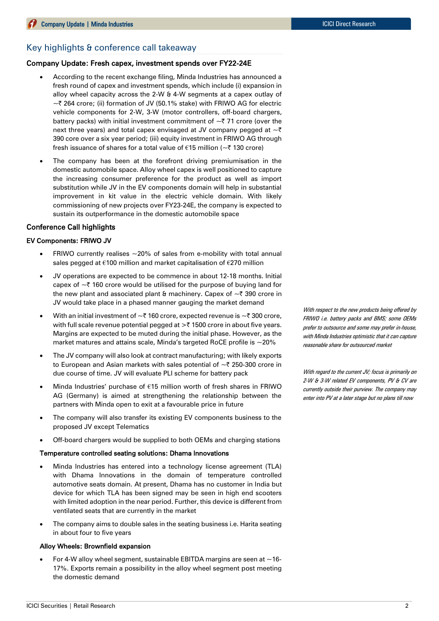### Key highlights & conference call takeaway

#### Company Update: Fresh capex, investment spends over FY22-24E

- According to the recent exchange filing, Minda Industries has announced a fresh round of capex and investment spends, which include (i) expansion in alloy wheel capacity across the 2-W & 4-W segments at a capex outlay of  $\sim$  7 264 crore; (ii) formation of JV (50.1% stake) with FRIWO AG for electric vehicle components for 2-W, 3-W (motor controllers, off-board chargers, battery packs) with initial investment commitment of  $\sim$  71 crore (over the next three years) and total capex envisaged at JV company pegged at  $\sim \bar{\tau}$ 390 core over a six year period; (iii) equity investment in FRIWO AG through fresh issuance of shares for a total value of €15 million ( $\sim$ ₹130 crore)
- The company has been at the forefront driving premiumisation in the domestic automobile space. Alloy wheel capex is well positioned to capture the increasing consumer preference for the product as well as import substitution while JV in the EV components domain will help in substantial improvement in kit value in the electric vehicle domain. With likely commissioning of new projects over FY23-24E, the company is expected to sustain its outperformance in the domestic automobile space

#### Conference Call highlights

#### EV Components: FRIWO JV

- FRIWO currently realises  $\sim$  20% of sales from e-mobility with total annual sales pegged at €100 million and market capitalisation of €270 million
- JV operations are expected to be commence in about 12-18 months. Initial capex of  $\sim$  7 160 crore would be utilised for the purpose of buying land for the new plant and associated plant & machinery. Capex of  $\sim$  7 390 crore in JV would take place in a phased manner gauging the market demand
- With an initial investment of  $\sim$  7 160 crore, expected revenue is  $\sim$  7 300 crore, with full scale revenue potential pegged at  $\geq$  1500 crore in about five years. Margins are expected to be muted during the initial phase. However, as the market matures and attains scale, Minda's targeted RoCE profile is  $\sim$ 20%
- The JV company will also look at contract manufacturing; with likely exports to European and Asian markets with sales potential of  $\sim$  7 250-300 crore in due course of time. JV will evaluate PLI scheme for battery pack
- Minda Industries' purchase of €15 million worth of fresh shares in FRIWO AG (Germany) is aimed at strengthening the relationship between the partners with Minda open to exit at a favourable price in future
- The company will also transfer its existing EV components business to the proposed JV except Telematics
- Off-board chargers would be supplied to both OEMs and charging stations

#### Temperature controlled seating solutions: Dhama Innovations

- Minda Industries has entered into a technology license agreement (TLA) with Dhama Innovations in the domain of temperature controlled automotive seats domain. At present, Dhama has no customer in India but device for which TLA has been signed may be seen in high end scooters with limited adoption in the near period. Further, this device is different from ventilated seats that are currently in the market
- The company aims to double sales in the seating business i.e. Harita seating in about four to five years

#### Alloy Wheels: Brownfield expansion

For 4-W alloy wheel segment, sustainable EBITDA margins are seen at  $\sim$  16-17%. Exports remain a possibility in the alloy wheel segment post meeting the domestic demand

With respect to the new products being offered by FRIWO i.e. battery packs and BMS; some OEMs prefer to outsource and some may prefer in-house, with Minda Industries optimistic that it can capture reasonable share for outsourced market

With regard to the current JV; focus is primarily on 2-W & 3-W related EV components, PV & CV are currently outside their purview. The company may enter into PV at a later stage but no plans till now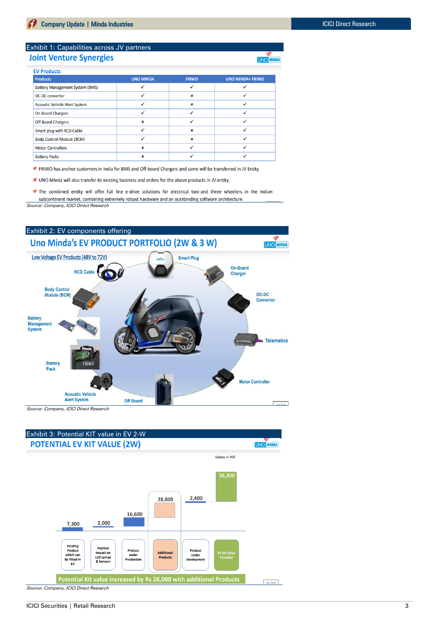#### Exhibit 1: Capabilities across JV partners **Joint Venture Synergies**

| <b>Products</b>                        | <b>UNO MINDA</b> | <b>FRIWO</b> | <b>UNO MINDA+ FRIWO</b> |
|----------------------------------------|------------------|--------------|-------------------------|
| <b>Battery Management System (BMS)</b> |                  |              |                         |
| <b>DC-DC converter</b>                 |                  | $\mathbf x$  |                         |
| <b>Acoustic Vehicle Alert System</b>   |                  | $\mathbf x$  |                         |
| On Board Chargers                      | √                |              |                         |
| <b>Off Board Chargers</b>              | ×                |              |                         |
| Smart plug with RCD Cable              |                  | $\mathbf x$  |                         |
| <b>Body Control Module (BCM)</b>       |                  | $\mathbf x$  |                         |
| <b>Motor Controllers</b>               | $\mathbf x$      |              |                         |
| <b>Battery Packs</b>                   | ×                |              |                         |

€ FRIWO has anchor customers in India for BMS and Off-board Chargers and same will be transferred in JV Entity

UNO Minda will also transfer its existing business and orders for the above products in JV entity.

The combined entity will offer full line e-drive solutions for electrical two-and three wheelers in the Indian subcontinent market, combining extremely robust hardware and an outstanding software architecture. Source: Company, ICICI Direct Research



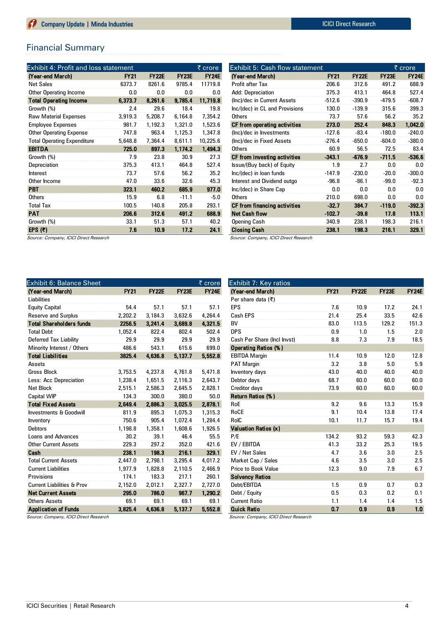# Financial Summary

| Exhibit 4: Profit and loss statement |             |              |              | <u>₹ crore</u> |
|--------------------------------------|-------------|--------------|--------------|----------------|
| (Year-end March)                     | <b>FY21</b> | <b>FY22E</b> | <b>FY23E</b> | <b>FY24E</b>   |
| <b>Net Sales</b>                     | 6373.7      | 8261.6       | 9785.4       | 11719.8        |
| Other Operating Income               | 0.0         | 0.0          | 0.0          | 0.0            |
| <b>Total Operating Income</b>        | 6,373.7     | 8,261.6      | 9.785.4      | 11,719.8       |
| Growth (%)                           | 2.4         | 29.6         | 18.4         | 19.8           |
| <b>Raw Material Expenses</b>         | 3,919.3     | 5,208.7      | 6,164.8      | 7,354.2        |
| <b>Employee Expenses</b>             | 981.7       | 1,192.3      | 1,321.0      | 1,523.6        |
| <b>Other Operating Expense</b>       | 747.8       | 963.4        | 1.125.3      | 1.347.8        |
| <b>Total Operating Expenditure</b>   | 5,648.8     | 7,364.4      | 8,611.1      | 10,225.6       |
| <b>EBITDA</b>                        | 725.0       | 897.3        | 1,174.2      | 1,494.3        |
| Growth (%)                           | 7.9         | 23.8         | 30.9         | 27.3           |
| Depreciation                         | 375.3       | 413.1        | 464.8        | 527.4          |
| Interest                             | 73.7        | 57.6         | 56.2         | 35.2           |
| Other Income                         | 47.0        | 33.6         | 32.6         | 45.3           |
| <b>PBT</b>                           | 323.1       | 460.2        | 685.9        | 977.0          |
| <b>Others</b>                        | 15.9        | 6.8          | $-11.1$      | $-5.0$         |
| <b>Total Tax</b>                     | 100.5       | 140.8        | 205.8        | 293.1          |
| <b>PAT</b>                           | 206.6       | 312.6        | 491.2        | 688.9          |
| Growth (%)                           | 33.1        | 51.3         | 57.1         | 40.2           |
| EPS $(\bar{z})$                      | 7.6         | 10.9         | 17.2         | 24.1           |

| (Year-end March)                       | <b>FY21</b> | <b>FY22E</b> | <b>FY23E</b> | <b>FY24E</b> |
|----------------------------------------|-------------|--------------|--------------|--------------|
| Profit after Tax                       | 206.6       | 312.6        | 491.2        | 688.9        |
| Add: Depreciation                      | 375.3       | 413.1        | 464.8        | 527.4        |
| (Inc)/dec in Current Assets            | $-512.6$    | $-390.9$     | $-479.5$     | $-608.7$     |
| Inc/(dec) in CL and Provisions         | 130.0       | $-139.9$     | 315.6        | 399.3        |
| <b>Others</b>                          | 73.7        | 57.6         | 56.2         | 35.2         |
| CF from operating activities           | 273.0       | 252.4        | 848.3        | 1,042.0      |
| (Inc)/dec in Investments               | $-127.6$    | $-83.4$      | $-180.0$     | $-240.0$     |
| (Inc)/dec in Fixed Assets              | $-276.4$    | $-650.0$     | $-604.0$     | $-380.0$     |
| <b>Others</b>                          | 60.9        | 56.5         | 72.5         | 83.4         |
| CF from investing activities           | $-343.1$    | $-676.9$     | $-711.5$     | $-536.6$     |
| Issue/(Buy back) of Equity             | 1.9         | 2.7          | 0.0          | 0.0          |
| Inc/(dec) in loan funds                | $-147.9$    | $-230.0$     | $-20.0$      | $-300.0$     |
| Interest and Dividend outgo            | $-96.8$     | $-86.1$      | $-99.0$      | $-92.3$      |
| Inc/(dec) in Share Cap                 | 0.0         | 0.0          | 0.0          | 0.0          |
| <b>Others</b>                          | 210.0       | 698.0        | 0.0          | 0.0          |
| CF from financing activities           | $-32.7$     | 384.7        | $-119.0$     | $-392.3$     |
| <b>Net Cash flow</b>                   | $-102.7$    | $-39.8$      | 17.8         | 113.1        |
| <b>Opening Cash</b>                    | 340.9       | 238.1        | 198.3        | 216.1        |
| <b>Closing Cash</b>                    | 238.1       | 198.3        | 216.1        | 329.1        |
| Source: Company, ICICI Direct Research |             |              |              |              |

Exhibit 5: Cash flow statement  $\bar{\tau}$  crore

Source: Company, ICICI Direct Research

| <b>Exhibit 6: Balance Sheet</b>       |             |              |              | ₹ crore      |
|---------------------------------------|-------------|--------------|--------------|--------------|
| (Year-end March)                      | <b>FY21</b> | <b>FY22E</b> | <b>FY23E</b> | <b>FY24E</b> |
| Liabilities                           |             |              |              |              |
| <b>Equity Capital</b>                 | 54.4        | 57.1         | 57.1         | 57.1         |
| <b>Reserve and Surplus</b>            | 2.202.2     | 3,184.3      | 3.632.6      | 4,264.4      |
| <b>Total Shareholders funds</b>       | 2256.5      | 3.241.4      | 3,689.8      | 4,321.5      |
| <b>Total Debt</b>                     | 1.052.4     | 822.4        | 802.4        | 502.4        |
| Deferred Tax Liability                | 29.9        | 29.9         | 29.9         | 29.9         |
| Minority Interest / Others            | 486.6       | 543.1        | 615.6        | 699.0        |
| <b>Total Liabilities</b>              | 3825.4      | 4,636.8      | 5,137.7      | 5,552.8      |
| Assets                                |             |              |              |              |
| <b>Gross Block</b>                    | 3,753.5     | 4,237.8      | 4,761.8      | 5,471.8      |
| Less: Acc Depreciation                | 1,238.4     | 1,651.5      | 2,116.3      | 2,643.7      |
| <b>Net Block</b>                      | 2.515.1     | 2.586.3      | 2.645.5      | 2.828.1      |
| <b>Capital WIP</b>                    | 134.3       | 300.0        | 380.0        | 50.0         |
| <b>Total Fixed Assets</b>             | 2.649.4     | 2.886.3      | 3,025.5      | 2,878.1      |
| <b>Investments &amp; Goodwill</b>     | 811.9       | 895.3        | 1,075.3      | 1,315.3      |
| Inventory                             | 750.6       | 905.4        | 1,072.4      | 1,284.4      |
| <b>Debtors</b>                        | 1.198.8     | 1,358.1      | 1.608.6      | 1.926.5      |
| Loans and Advances                    | 30.2        | 39.1         | 46.4         | 55.5         |
| <b>Other Current Assets</b>           | 229.3       | 297.2        | 352.0        | 421.6        |
| Cash                                  | 238.1       | 198.3        | 216.1        | 329.1        |
| <b>Total Current Assets</b>           | 2.447.0     | 2.798.1      | 3,295.4      | 4,017.2      |
| <b>Current Liabilities</b>            | 1.977.9     | 1,828.8      | 2,110.5      | 2,466.9      |
| Provisions                            | 174.1       | 183.3        | 217.1        | 260.1        |
| <b>Current Liabilities &amp; Prov</b> | 2,152.0     | 2,012.1      | 2,327.7      | 2,727.0      |
| <b>Net Current Assets</b>             | 295.0       | 786.0        | 967.7        | 1,290.2      |
| <b>Others Assets</b>                  | 69.1        | 69.1         | 69.1         | 69.1         |
| <b>Application of Funds</b>           | 3.825.4     | 4.636.8      | 5,137.7      | 5,552.8      |

| Exhibit 7: Key ratios<br>(Year-end March)<br><b>FY21</b><br><b>FY22E</b><br>FY23E<br>Per share data (₹)<br>EPS<br>7.6<br>10.9<br>17.2<br>21.4<br>33.5<br>Cash EPS<br>25.4 | <b>FY24E</b><br>24.1<br>42.6 |
|---------------------------------------------------------------------------------------------------------------------------------------------------------------------------|------------------------------|
|                                                                                                                                                                           |                              |
|                                                                                                                                                                           |                              |
|                                                                                                                                                                           |                              |
|                                                                                                                                                                           |                              |
|                                                                                                                                                                           |                              |
| <b>BV</b><br>83.0<br>113.5<br>129.2                                                                                                                                       | 151.3                        |
| <b>DPS</b><br>0.9<br>1.0<br>1.5                                                                                                                                           | 2.0                          |
| Cash Per Share (Incl Invst)<br>8.8<br>7.3<br>7.9                                                                                                                          | 18.5                         |
| <b>Operating Ratios (%)</b>                                                                                                                                               |                              |
| <b>EBITDA Margin</b><br>11.4<br>10.9<br>12.0                                                                                                                              | 12.8                         |
| 3.2<br>3.8<br><b>PAT Margin</b><br>5.0                                                                                                                                    | 5.9                          |
| 43.0<br>40.0<br>Inventory days<br>40.0                                                                                                                                    | 40.0                         |
| Debtor days<br>68.7<br>60.0<br>60.0                                                                                                                                       | 60.0                         |
| Creditor days<br>73.9<br>60.0<br>60.0                                                                                                                                     | 60.0                         |
| Return Ratios (%)                                                                                                                                                         |                              |
| 9.2<br>RoE<br>9.6<br>13.3                                                                                                                                                 | 15.9                         |
| RoCE<br>9.1<br>10.4<br>13.8                                                                                                                                               | 17.4                         |
| RoIC<br>10.1<br>11.7<br>15.7                                                                                                                                              | 19.4                         |
| <b>Valuation Ratios (x)</b>                                                                                                                                               |                              |
| P/E<br>134.2<br>93.2<br>59.3                                                                                                                                              | 42.3                         |
| 33.2<br>EV / EBITDA<br>41.3<br>25.3                                                                                                                                       | 19.5                         |
| EV / Net Sales<br>4.7<br>3.6<br>3.0                                                                                                                                       | 2.5                          |
| Market Cap / Sales<br>4.6<br>3.5<br>3.0                                                                                                                                   | 2.5                          |
| <b>Price to Book Value</b><br>12.3<br>9.0<br>7.9                                                                                                                          | 6.7                          |
| <b>Solvency Ratios</b>                                                                                                                                                    |                              |
| Debt/EBITDA<br>1.5<br>0.9<br>0.7                                                                                                                                          | 0.3                          |
| 0.5<br>Debt / Equity<br>0.3<br>0.2                                                                                                                                        | 0.1                          |
| <b>Current Ratio</b><br>1.1<br>1.4<br>1.4                                                                                                                                 | 1.5                          |
| <b>Quick Ratio</b><br>0.7<br>0.9<br>0.9<br>10101B                                                                                                                         | 1.0                          |

Source: Company, ICICI Direct Research

Source: Company, ICICI Direct Research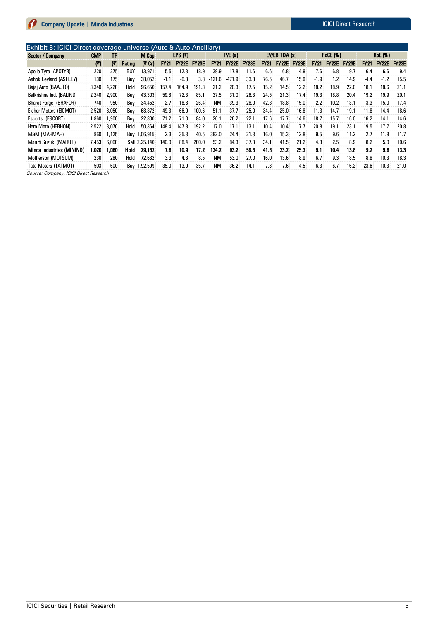| Sector / Company          | CMP   | TΡ    |        | M Cap         |             | EPS $(\bar{z})$ |              | P/E(x)      |              | EV/EBITDA(x) |             |              | <b>RoCE (%)</b> |               |              | <b>RoE</b> (%) |             |              |              |
|---------------------------|-------|-------|--------|---------------|-------------|-----------------|--------------|-------------|--------------|--------------|-------------|--------------|-----------------|---------------|--------------|----------------|-------------|--------------|--------------|
|                           | (₹)   | (3)   | Rating | (₹ Cr)        | <b>FY21</b> | <b>FY22E</b>    | <b>FY23E</b> | <b>FY21</b> | <b>FY22E</b> | <b>FY23E</b> | <b>FY21</b> | <b>FY22E</b> | <b>FY23E</b>    | <b>FY21</b>   | <b>FY22E</b> | <b>FY23E</b>   | <b>FY21</b> | <b>FY22E</b> | <b>FY23E</b> |
| Apollo Tyre (APOTYR)      | 220   | 275   | BUY    | 13.971        | 5.5         | 12.3            | 18.9         | 39.9        | 17.8         | 11.6         | 6.6         | 6.8          | 4.9             | 7.6           | 6.8          | 9.7            | 6.4         | 6.6          | 9.4          |
| Ashok Levland (ASHLEY)    | 130   | 175   | Buv    | 38.052        | $-1.1$      | $-0.3$          | 3.8          | .6<br>-121  | $-471$<br>.9 | 33.8         | 76.5        | 46.7         | 15.9            | $-1.9$        | 1.2          | 14.9           | $-4.4$      | $-1.2$       | 15.5         |
| Bajaj Auto (BAAUTO)       | 3,340 | 4.220 | Hold   | 96.650        | 157.4       | 164.9           | 191.3        | 21.2        | 20.3         | 17.5         | 15.2        | 14.5         | 12.2            | 18.2          | 18.9         | 22.0           | 18.1        | 18.6         | 21.1         |
| Balkrishna Ind. (BALIND)  | 2.240 | 2,900 | Buy    | 43,303        | 59.8        | 72.3            | 85.1         | 37.5        | 31.0         | 26.3         | 24.5        | 21.3         | 17.4            | 19.3          | 18.8         | 20.4           | 19.2        | 19.9         | 20.1         |
| Bharat Forge (BHAFOR)     | 740   | 950   | Buy    | 34,452        | $-2.7$      | 18.8            | 26.4         | <b>NM</b>   | 39.3         | 28.0         | 42.8        | 18.8         | 15.0            | $2.2^{\circ}$ | 10.2         | 13.1           | 3.3         | 15.0         | 17.4         |
| Eicher Motors (EICMOT)    | 2,520 | 3.050 | Buy    | 68,872        | 49.3        | 66.9            | 100.6        | 51.1        | 37.7         | 25.0         | 34.4        | 25.0         | 16.8            | 11.3          | 14.7         | 19.1           | 11.8        | 14.4         | 18.6         |
| Escorts (ESCORT)          | .860  | 1,900 | Buy    | 22,800        | 71.2        | 71.0            | 84.0         | 26.1        | 26.2         | 22.1         | 17.6        | 17.7         | 14.6            | 18.7          | 15.7         | 16.0           | 16.2        | 14.1         | 14.6         |
| Hero Moto (HERHON)        | 2,522 | 3.070 | Hold   | 50.364        | 148.4       | 147.8           | 192.2        | 17.0        | 17.1         | 13.1         | 10.4        | 10.4         | 7.7             | 20.8          | 19.1         | 23.1           | 19.5        | 17.7         | 20.8         |
| M&M (MAHMAH)              | 860   | 1.125 |        | Buy 1,06,915  | 2.3         | 35.3            | 40.5         | 382.0       | 24.4         | 21.3         | 16.0        | 15.3         | 12.8            | 9.5           | 9.6          | 11.2           | 2.7         | 11.8         | 11.7         |
| Maruti Suzuki (MARUTI)    | 7.453 | 6,000 |        | Sell 2.25.140 | 140.0       | 88.4            | 200.0        | 53.2        | 84.3         | 37.3         | 34.1        | 41.5         | 21.2            | 4.3           | 2.5          | 8.9            | 8.2         | 5.0          | 10.6         |
| Minda Industries (MININD) | 1.020 | 1.060 | Hold   | 29,132        | 7.6         | 10.9            | 17.2         | 134.2       | 93.2         | 59.3         | 41.3        | 33.2         | 25.3            | 9.1           | 10.4         | 13.8           | 9.2         | 9.6          | 13.3         |
| Motherson (MOTSUM)        | 230   | 280   | Hold   | 72.632        | 3.3         | 4.3             | 8.5          | <b>NM</b>   | 53.0         | 27.0         | 16.0        | 13.6         | 8.9             | 6.7           | 9.3          | 18.5           | 8.8         | 10.3         | 18.3         |
| Tata Motors (TATMOT)      | 503   | 600   |        | Buy 1,92,599  | $-35.0$     | $-13.9$         | 35.7         | ΝM          | $-36.2$      | 14.1         | 7.3         | 7.6          | 4.5             | 6.3           | 6.7          | 16.2           | $-23.6$     | $-10.3$      | 21.0         |

Source: Company, ICICI Direct Research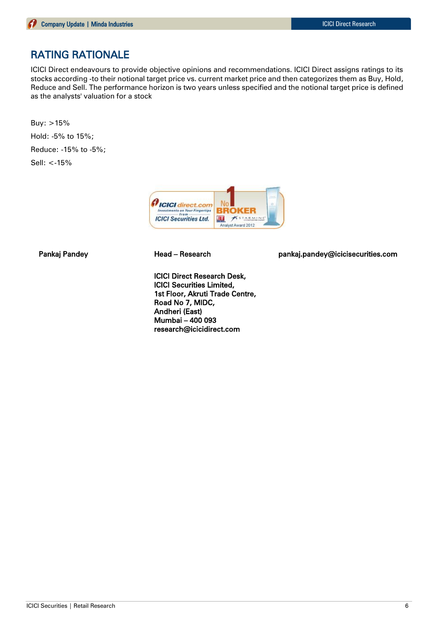# RATING RATIONALE

ICICI Direct endeavours to provide objective opinions and recommendations. ICICI Direct assigns ratings to its stocks according -to their notional target price vs. current market price and then categorizes them as Buy, Hold, Reduce and Sell. The performance horizon is two years unless specified and the notional target price is defined as the analysts' valuation for a stock

Buy: >15% Hold: -5% to 15%; Reduce: -15% to -5%; Sell: <-15%



ICICI Direct Research Desk, ICICI Securities Limited, 1st Floor, Akruti Trade Centre, Road No 7, MIDC, Andheri (East) Mumbai – 400 093 research@icicidirect.com

Pankaj Pandey **Head – Research head pankaj.pandey@icicisecurities.com**